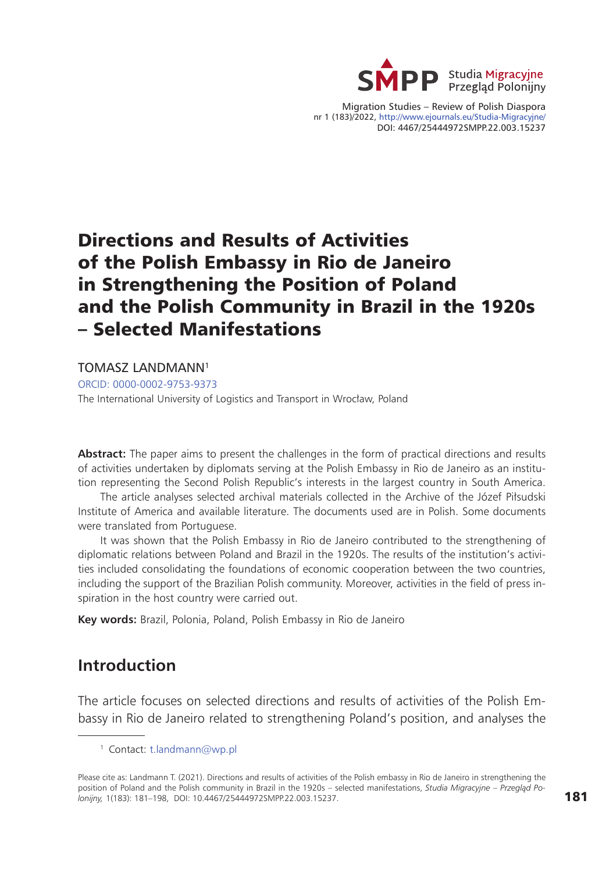

Migration Studies – Review of Polish Diaspora nr 1 (183)/2022, http://www.ejournals.eu/Studia-Migracyjne/ DOI: 4467/25444972SMPP.22.003.15237

# Directions and Results of Activities of the Polish Embassy in Rio de Janeiro in Strengthening the Position of Poland and the Polish Community in Brazil in the 1920s – Selected Manifestations

TOMASZ LANDMANN1

[ORCID: 0000-0002-9753-9373](https://orcid.org/0000-0002-9753-9373)

The International University of Logistics and Transport in Wrocław, Poland

**Abstract:** The paper aims to present the challenges in the form of practical directions and results of activities undertaken by diplomats serving at the Polish Embassy in Rio de Janeiro as an institution representing the Second Polish Republic's interests in the largest country in South America.

The article analyses selected archival materials collected in the Archive of the Józef Piłsudski Institute of America and available literature. The documents used are in Polish. Some documents were translated from Portuguese.

It was shown that the Polish Embassy in Rio de Janeiro contributed to the strengthening of diplomatic relations between Poland and Brazil in the 1920s. The results of the institution's activities included consolidating the foundations of economic cooperation between the two countries, including the support of the Brazilian Polish community. Moreover, activities in the field of press inspiration in the host country were carried out.

**Key words:** Brazil, Polonia, Poland, Polish Embassy in Rio de Janeiro

#### **Introduction**

The article focuses on selected directions and results of activities of the Polish Embassy in Rio de Janeiro related to strengthening Poland's position, and analyses the

<sup>1</sup> Contact: [t.landmann@wp.pl](mailto:t.landmann@wp.pl)

Please cite as: Landmann T. (2021). Directions and results of activities of the Polish embassy in Rio de Janeiro in strengthening the position of Poland and the Polish community in Brazil in the 1920s – selected manifestations, *Studia Migracyjne – Przegląd Polonijny,* 1(183): 181–198, DOI: 10.4467/25444972SMPP.22.003.15237.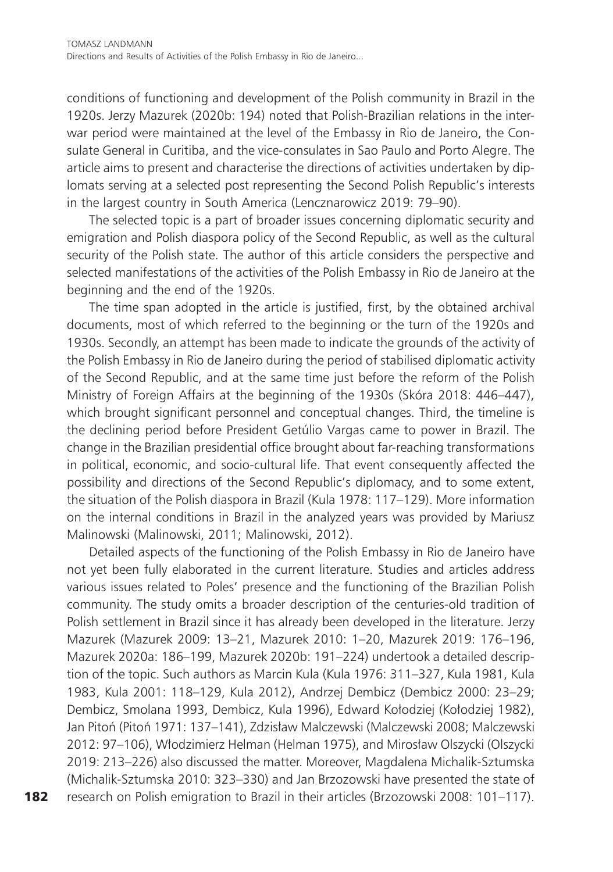conditions of functioning and development of the Polish community in Brazil in the 1920s. Jerzy Mazurek (2020b: 194) noted that Polish-Brazilian relations in the interwar period were maintained at the level of the Embassy in Rio de Janeiro, the Consulate General in Curitiba, and the vice-consulates in Sao Paulo and Porto Alegre. The article aims to present and characterise the directions of activities undertaken by diplomats serving at a selected post representing the Second Polish Republic's interests in the largest country in South America (Lencznarowicz 2019: 79–90).

The selected topic is a part of broader issues concerning diplomatic security and emigration and Polish diaspora policy of the Second Republic, as well as the cultural security of the Polish state. The author of this article considers the perspective and selected manifestations of the activities of the Polish Embassy in Rio de Janeiro at the beginning and the end of the 1920s.

The time span adopted in the article is justified, first, by the obtained archival documents, most of which referred to the beginning or the turn of the 1920s and 1930s. Secondly, an attempt has been made to indicate the grounds of the activity of the Polish Embassy in Rio de Janeiro during the period of stabilised diplomatic activity of the Second Republic, and at the same time just before the reform of the Polish Ministry of Foreign Affairs at the beginning of the 1930s (Skóra 2018: 446–447), which brought significant personnel and conceptual changes. Third, the timeline is the declining period before President Getúlio Vargas came to power in Brazil. The change in the Brazilian presidential office brought about far-reaching transformations in political, economic, and socio-cultural life. That event consequently affected the possibility and directions of the Second Republic's diplomacy, and to some extent, the situation of the Polish diaspora in Brazil (Kula 1978: 117–129). More information on the internal conditions in Brazil in the analyzed years was provided by Mariusz Malinowski (Malinowski, 2011; Malinowski, 2012).

Detailed aspects of the functioning of the Polish Embassy in Rio de Janeiro have not yet been fully elaborated in the current literature. Studies and articles address various issues related to Poles' presence and the functioning of the Brazilian Polish community. The study omits a broader description of the centuries-old tradition of Polish settlement in Brazil since it has already been developed in the literature. Jerzy Mazurek (Mazurek 2009: 13–21, Mazurek 2010: 1–20, Mazurek 2019: 176–196, Mazurek 2020a: 186–199, Mazurek 2020b: 191–224) undertook a detailed description of the topic. Such authors as Marcin Kula (Kula 1976: 311–327, Kula 1981, Kula 1983, Kula 2001: 118–129, Kula 2012), Andrzej Dembicz (Dembicz 2000: 23–29; Dembicz, Smolana 1993, Dembicz, Kula 1996), Edward Kołodziej (Kołodziej 1982), Jan Pitoń (Pitoń 1971: 137–141), Zdzisław Malczewski (Malczewski 2008; Malczewski 2012: 97–106), Włodzimierz Helman (Helman 1975), and Mirosław Olszycki (Olszycki 2019: 213–226) also discussed the matter. Moreover, Magdalena Michalik-Sztumska (Michalik-Sztumska 2010: 323–330) and Jan Brzozowski have presented the state of research on Polish emigration to Brazil in their articles (Brzozowski 2008: 101–117).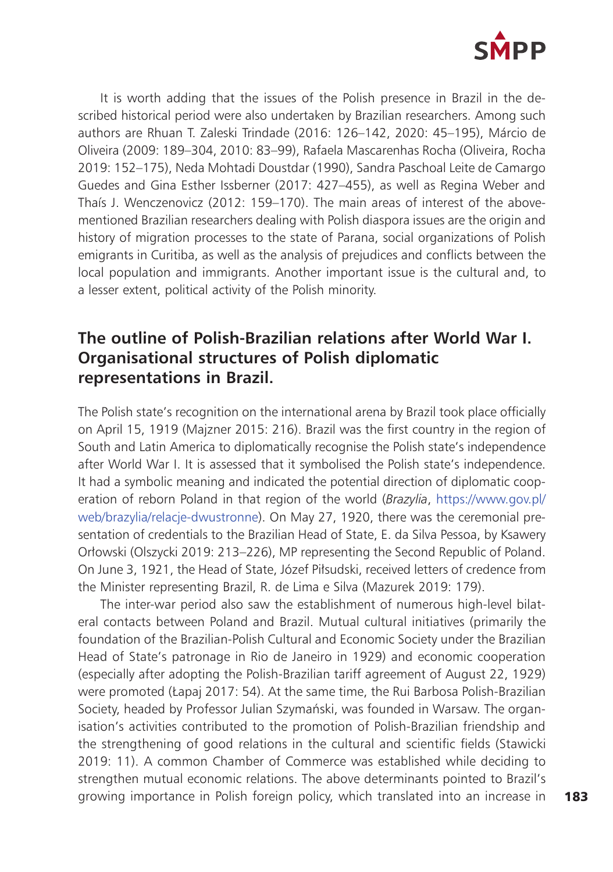

It is worth adding that the issues of the Polish presence in Brazil in the described historical period were also undertaken by Brazilian researchers. Among such authors are Rhuan T. Zaleski Trindade (2016: 126–142, 2020: 45–195), Márcio de Oliveira (2009: 189–304, 2010: 83–99), Rafaela Mascarenhas Rocha (Oliveira, Rocha 2019: 152–175), Neda Mohtadi Doustdar (1990), Sandra Paschoal Leite de Camargo Guedes and Gina Esther Issberner (2017: 427–455), as well as Regina Weber and Thaís J. Wenczenovicz (2012: 159–170). The main areas of interest of the abovementioned Brazilian researchers dealing with Polish diaspora issues are the origin and history of migration processes to the state of Parana, social organizations of Polish emigrants in Curitiba, as well as the analysis of prejudices and conflicts between the local population and immigrants. Another important issue is the cultural and, to a lesser extent, political activity of the Polish minority.

### **The outline of Polish-Brazilian relations after World War I. Organisational structures of Polish diplomatic representations in Brazil.**

The Polish state's recognition on the international arena by Brazil took place officially on April 15, 1919 (Majzner 2015: 216). Brazil was the first country in the region of South and Latin America to diplomatically recognise the Polish state's independence after World War I. It is assessed that it symbolised the Polish state's independence. It had a symbolic meaning and indicated the potential direction of diplomatic cooperation of reborn Poland in that region of the world (*Brazylia*, [https://www.gov.pl/](https://www.gov.pl/web/brazylia/relacje-dwustronne) [web/brazylia/relacje-dwustronne](https://www.gov.pl/web/brazylia/relacje-dwustronne)). On May 27, 1920, there was the ceremonial presentation of credentials to the Brazilian Head of State, E. da Silva Pessoa, by Ksawery Orłowski (Olszycki 2019: 213–226), MP representing the Second Republic of Poland. On June 3, 1921, the Head of State, Józef Piłsudski, received letters of credence from the Minister representing Brazil, R. de Lima e Silva (Mazurek 2019: 179).

The inter-war period also saw the establishment of numerous high-level bilateral contacts between Poland and Brazil. Mutual cultural initiatives (primarily the foundation of the Brazilian-Polish Cultural and Economic Society under the Brazilian Head of State's patronage in Rio de Janeiro in 1929) and economic cooperation (especially after adopting the Polish-Brazilian tariff agreement of August 22, 1929) were promoted (Łapaj 2017: 54). At the same time, the Rui Barbosa Polish-Brazilian Society, headed by Professor Julian Szymański, was founded in Warsaw. The organisation's activities contributed to the promotion of Polish-Brazilian friendship and the strengthening of good relations in the cultural and scientific fields (Stawicki 2019: 11). A common Chamber of Commerce was established while deciding to strengthen mutual economic relations. The above determinants pointed to Brazil's growing importance in Polish foreign policy, which translated into an increase in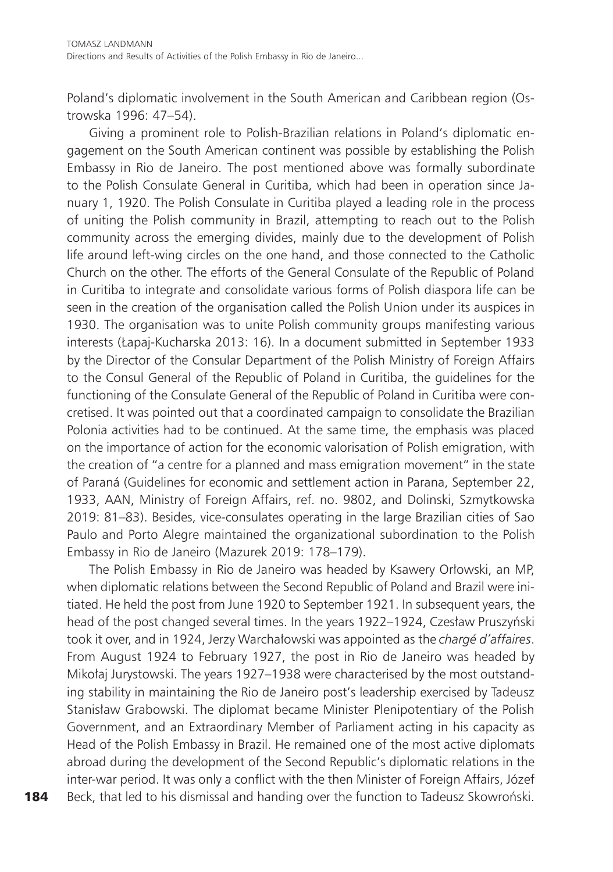Poland's diplomatic involvement in the South American and Caribbean region (Ostrowska 1996: 47–54).

Giving a prominent role to Polish-Brazilian relations in Poland's diplomatic engagement on the South American continent was possible by establishing the Polish Embassy in Rio de Janeiro. The post mentioned above was formally subordinate to the Polish Consulate General in Curitiba, which had been in operation since January 1, 1920. The Polish Consulate in Curitiba played a leading role in the process of uniting the Polish community in Brazil, attempting to reach out to the Polish community across the emerging divides, mainly due to the development of Polish life around left-wing circles on the one hand, and those connected to the Catholic Church on the other. The efforts of the General Consulate of the Republic of Poland in Curitiba to integrate and consolidate various forms of Polish diaspora life can be seen in the creation of the organisation called the Polish Union under its auspices in 1930. The organisation was to unite Polish community groups manifesting various interests (Łapaj-Kucharska 2013: 16). In a document submitted in September 1933 by the Director of the Consular Department of the Polish Ministry of Foreign Affairs to the Consul General of the Republic of Poland in Curitiba, the guidelines for the functioning of the Consulate General of the Republic of Poland in Curitiba were concretised. It was pointed out that a coordinated campaign to consolidate the Brazilian Polonia activities had to be continued. At the same time, the emphasis was placed on the importance of action for the economic valorisation of Polish emigration, with the creation of "a centre for a planned and mass emigration movement" in the state of Paraná (Guidelines for economic and settlement action in Parana, September 22, 1933, AAN, Ministry of Foreign Affairs, ref. no. 9802, and Dolinski, Szmytkowska 2019: 81–83). Besides, vice-consulates operating in the large Brazilian cities of Sao Paulo and Porto Alegre maintained the organizational subordination to the Polish Embassy in Rio de Janeiro (Mazurek 2019: 178–179).

The Polish Embassy in Rio de Janeiro was headed by Ksawery Orłowski, an MP, when diplomatic relations between the Second Republic of Poland and Brazil were initiated. He held the post from June 1920 to September 1921. In subsequent years, the head of the post changed several times. In the years 1922–1924, Czesław Pruszyński took it over, and in 1924, Jerzy Warchałowski was appointed as the *chargé d'affaires*. From August 1924 to February 1927, the post in Rio de Janeiro was headed by Mikołaj Jurystowski. The years 1927–1938 were characterised by the most outstanding stability in maintaining the Rio de Janeiro post's leadership exercised by Tadeusz Stanisław Grabowski. The diplomat became Minister Plenipotentiary of the Polish Government, and an Extraordinary Member of Parliament acting in his capacity as Head of the Polish Embassy in Brazil. He remained one of the most active diplomats abroad during the development of the Second Republic's diplomatic relations in the inter-war period. It was only a conflict with the then Minister of Foreign Affairs, Józef Beck, that led to his dismissal and handing over the function to Tadeusz Skowroński.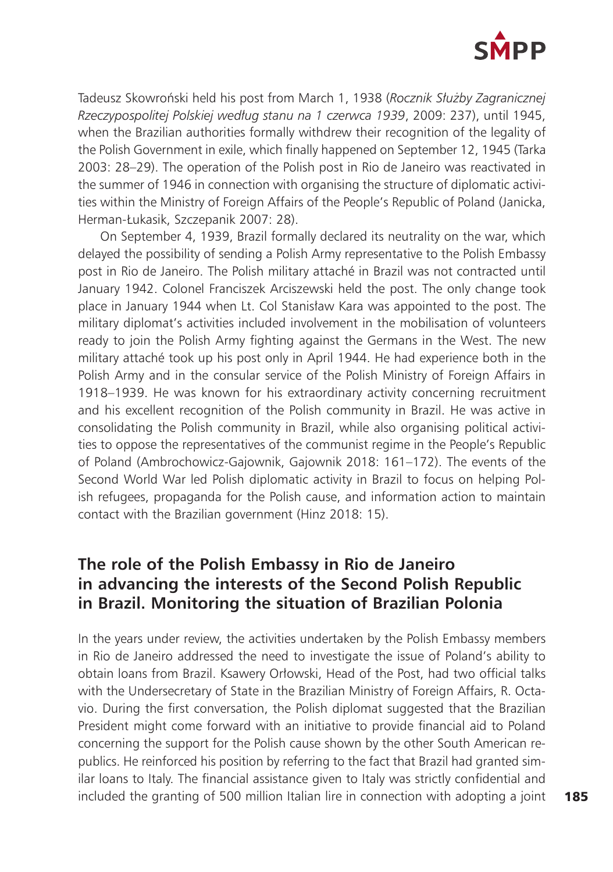

Tadeusz Skowroński held his post from March 1, 1938 (*Rocznik Służby Zagranicznej Rzeczypospolitej Polskiej według stanu na 1 czerwca 1939*, 2009: 237), until 1945, when the Brazilian authorities formally withdrew their recognition of the legality of the Polish Government in exile, which finally happened on September 12, 1945 (Tarka 2003: 28–29). The operation of the Polish post in Rio de Janeiro was reactivated in the summer of 1946 in connection with organising the structure of diplomatic activities within the Ministry of Foreign Affairs of the People's Republic of Poland (Janicka, Herman-Łukasik, Szczepanik 2007: 28).

On September 4, 1939, Brazil formally declared its neutrality on the war, which delayed the possibility of sending a Polish Army representative to the Polish Embassy post in Rio de Janeiro. The Polish military attaché in Brazil was not contracted until January 1942. Colonel Franciszek Arciszewski held the post. The only change took place in January 1944 when Lt. Col Stanisław Kara was appointed to the post. The military diplomat's activities included involvement in the mobilisation of volunteers ready to join the Polish Army fighting against the Germans in the West. The new military attaché took up his post only in April 1944. He had experience both in the Polish Army and in the consular service of the Polish Ministry of Foreign Affairs in 1918–1939. He was known for his extraordinary activity concerning recruitment and his excellent recognition of the Polish community in Brazil. He was active in consolidating the Polish community in Brazil, while also organising political activities to oppose the representatives of the communist regime in the People's Republic of Poland (Ambrochowicz-Gajownik, Gajownik 2018: 161–172). The events of the Second World War led Polish diplomatic activity in Brazil to focus on helping Polish refugees, propaganda for the Polish cause, and information action to maintain contact with the Brazilian government (Hinz 2018: 15).

### **The role of the Polish Embassy in Rio de Janeiro in advancing the interests of the Second Polish Republic in Brazil. Monitoring the situation of Brazilian Polonia**

In the years under review, the activities undertaken by the Polish Embassy members in Rio de Janeiro addressed the need to investigate the issue of Poland's ability to obtain loans from Brazil. Ksawery Orłowski, Head of the Post, had two official talks with the Undersecretary of State in the Brazilian Ministry of Foreign Affairs, R. Octavio. During the first conversation, the Polish diplomat suggested that the Brazilian President might come forward with an initiative to provide financial aid to Poland concerning the support for the Polish cause shown by the other South American republics. He reinforced his position by referring to the fact that Brazil had granted similar loans to Italy. The financial assistance given to Italy was strictly confidential and included the granting of 500 million Italian lire in connection with adopting a joint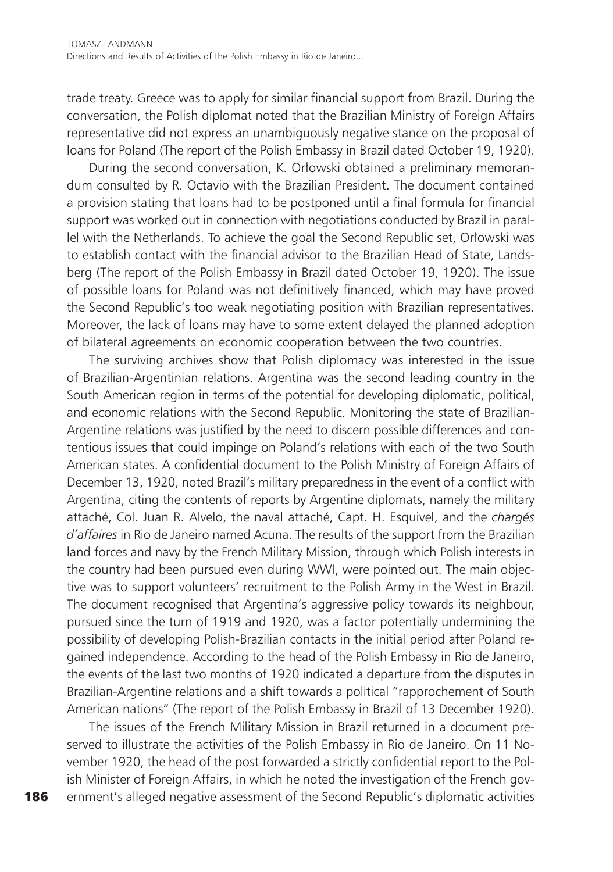trade treaty. Greece was to apply for similar financial support from Brazil. During the conversation, the Polish diplomat noted that the Brazilian Ministry of Foreign Affairs representative did not express an unambiguously negative stance on the proposal of loans for Poland (The report of the Polish Embassy in Brazil dated October 19, 1920).

During the second conversation, K. Orłowski obtained a preliminary memorandum consulted by R. Octavio with the Brazilian President. The document contained a provision stating that loans had to be postponed until a final formula for financial support was worked out in connection with negotiations conducted by Brazil in parallel with the Netherlands. To achieve the goal the Second Republic set, Orłowski was to establish contact with the financial advisor to the Brazilian Head of State, Landsberg (The report of the Polish Embassy in Brazil dated October 19, 1920). The issue of possible loans for Poland was not definitively financed, which may have proved the Second Republic's too weak negotiating position with Brazilian representatives. Moreover, the lack of loans may have to some extent delayed the planned adoption of bilateral agreements on economic cooperation between the two countries.

The surviving archives show that Polish diplomacy was interested in the issue of Brazilian-Argentinian relations. Argentina was the second leading country in the South American region in terms of the potential for developing diplomatic, political, and economic relations with the Second Republic. Monitoring the state of Brazilian-Argentine relations was justified by the need to discern possible differences and contentious issues that could impinge on Poland's relations with each of the two South American states. A confidential document to the Polish Ministry of Foreign Affairs of December 13, 1920, noted Brazil's military preparedness in the event of a conflict with Argentina, citing the contents of reports by Argentine diplomats, namely the military attaché, Col. Juan R. Alvelo, the naval attaché, Capt. H. Esquivel, and the *chargés d'affaires* in Rio de Janeiro named Acuna. The results of the support from the Brazilian land forces and navy by the French Military Mission, through which Polish interests in the country had been pursued even during WWI, were pointed out. The main objective was to support volunteers' recruitment to the Polish Army in the West in Brazil. The document recognised that Argentina's aggressive policy towards its neighbour, pursued since the turn of 1919 and 1920, was a factor potentially undermining the possibility of developing Polish-Brazilian contacts in the initial period after Poland regained independence. According to the head of the Polish Embassy in Rio de Janeiro, the events of the last two months of 1920 indicated a departure from the disputes in Brazilian-Argentine relations and a shift towards a political "rapprochement of South American nations" (The report of the Polish Embassy in Brazil of 13 December 1920).

The issues of the French Military Mission in Brazil returned in a document preserved to illustrate the activities of the Polish Embassy in Rio de Janeiro. On 11 November 1920, the head of the post forwarded a strictly confidential report to the Polish Minister of Foreign Affairs, in which he noted the investigation of the French government's alleged negative assessment of the Second Republic's diplomatic activities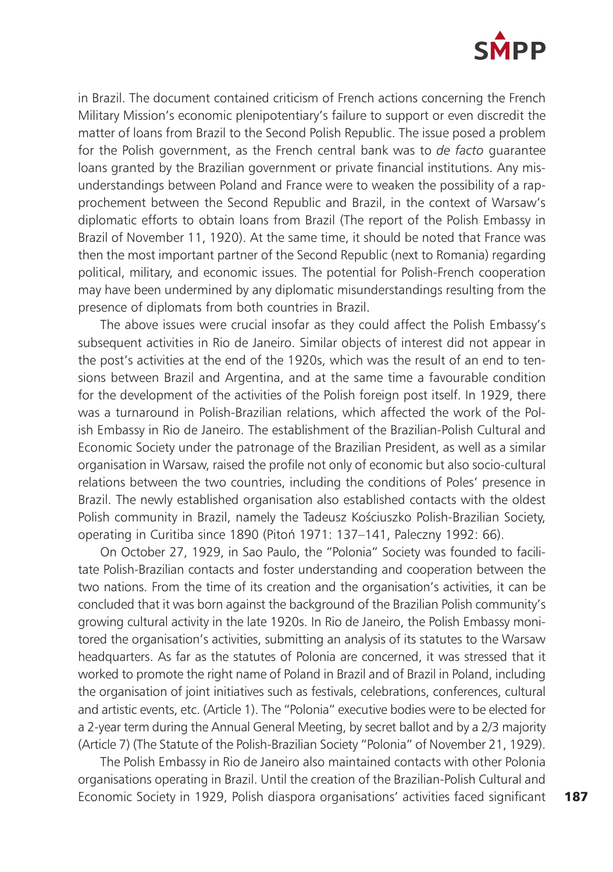

in Brazil. The document contained criticism of French actions concerning the French Military Mission's economic plenipotentiary's failure to support or even discredit the matter of loans from Brazil to the Second Polish Republic. The issue posed a problem for the Polish government, as the French central bank was to *de facto* guarantee loans granted by the Brazilian government or private financial institutions. Any misunderstandings between Poland and France were to weaken the possibility of a rapprochement between the Second Republic and Brazil, in the context of Warsaw's diplomatic efforts to obtain loans from Brazil (The report of the Polish Embassy in Brazil of November 11, 1920). At the same time, it should be noted that France was then the most important partner of the Second Republic (next to Romania) regarding political, military, and economic issues. The potential for Polish-French cooperation may have been undermined by any diplomatic misunderstandings resulting from the presence of diplomats from both countries in Brazil.

The above issues were crucial insofar as they could affect the Polish Embassy's subsequent activities in Rio de Janeiro. Similar objects of interest did not appear in the post's activities at the end of the 1920s, which was the result of an end to tensions between Brazil and Argentina, and at the same time a favourable condition for the development of the activities of the Polish foreign post itself. In 1929, there was a turnaround in Polish-Brazilian relations, which affected the work of the Polish Embassy in Rio de Janeiro. The establishment of the Brazilian-Polish Cultural and Economic Society under the patronage of the Brazilian President, as well as a similar organisation in Warsaw, raised the profile not only of economic but also socio-cultural relations between the two countries, including the conditions of Poles' presence in Brazil. The newly established organisation also established contacts with the oldest Polish community in Brazil, namely the Tadeusz Kościuszko Polish-Brazilian Society, operating in Curitiba since 1890 (Pitoń 1971: 137–141, Paleczny 1992: 66).

On October 27, 1929, in Sao Paulo, the "Polonia" Society was founded to facilitate Polish-Brazilian contacts and foster understanding and cooperation between the two nations. From the time of its creation and the organisation's activities, it can be concluded that it was born against the background of the Brazilian Polish community's growing cultural activity in the late 1920s. In Rio de Janeiro, the Polish Embassy monitored the organisation's activities, submitting an analysis of its statutes to the Warsaw headquarters. As far as the statutes of Polonia are concerned, it was stressed that it worked to promote the right name of Poland in Brazil and of Brazil in Poland, including the organisation of joint initiatives such as festivals, celebrations, conferences, cultural and artistic events, etc. (Article 1). The "Polonia" executive bodies were to be elected for a 2-year term during the Annual General Meeting, by secret ballot and by a 2/3 majority (Article 7) (The Statute of the Polish-Brazilian Society "Polonia" of November 21, 1929).

The Polish Embassy in Rio de Janeiro also maintained contacts with other Polonia organisations operating in Brazil. Until the creation of the Brazilian-Polish Cultural and Economic Society in 1929, Polish diaspora organisations' activities faced significant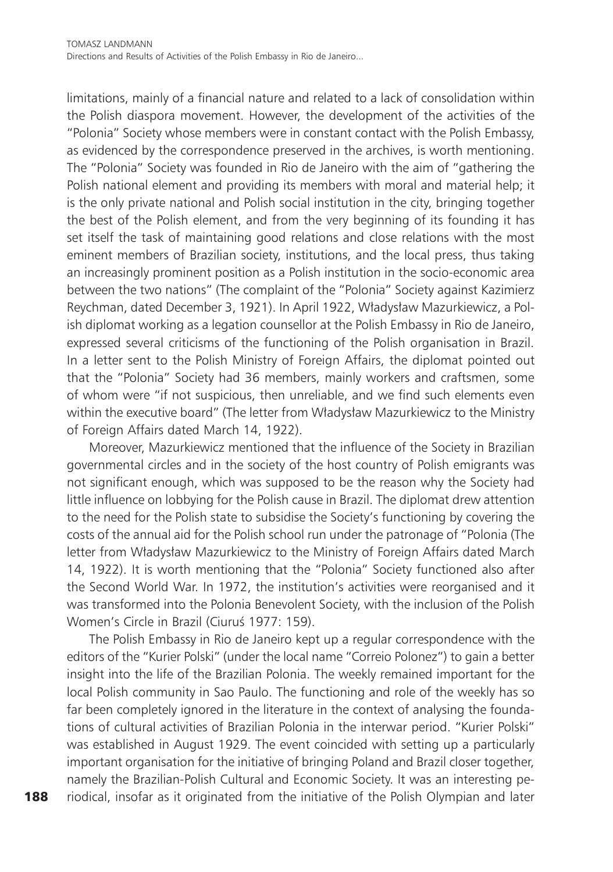limitations, mainly of a financial nature and related to a lack of consolidation within the Polish diaspora movement. However, the development of the activities of the "Polonia" Society whose members were in constant contact with the Polish Embassy, as evidenced by the correspondence preserved in the archives, is worth mentioning. The "Polonia" Society was founded in Rio de Janeiro with the aim of "gathering the Polish national element and providing its members with moral and material help; it is the only private national and Polish social institution in the city, bringing together the best of the Polish element, and from the very beginning of its founding it has set itself the task of maintaining good relations and close relations with the most eminent members of Brazilian society, institutions, and the local press, thus taking an increasingly prominent position as a Polish institution in the socio-economic area between the two nations" (The complaint of the "Polonia" Society against Kazimierz Reychman, dated December 3, 1921). In April 1922, Władysław Mazurkiewicz, a Polish diplomat working as a legation counsellor at the Polish Embassy in Rio de Janeiro, expressed several criticisms of the functioning of the Polish organisation in Brazil. In a letter sent to the Polish Ministry of Foreign Affairs, the diplomat pointed out that the "Polonia" Society had 36 members, mainly workers and craftsmen, some of whom were "if not suspicious, then unreliable, and we find such elements even within the executive board" (The letter from Władysław Mazurkiewicz to the Ministry of Foreign Affairs dated March 14, 1922).

Moreover, Mazurkiewicz mentioned that the influence of the Society in Brazilian governmental circles and in the society of the host country of Polish emigrants was not significant enough, which was supposed to be the reason why the Society had little influence on lobbying for the Polish cause in Brazil. The diplomat drew attention to the need for the Polish state to subsidise the Society's functioning by covering the costs of the annual aid for the Polish school run under the patronage of "Polonia (The letter from Władysław Mazurkiewicz to the Ministry of Foreign Affairs dated March 14, 1922). It is worth mentioning that the "Polonia" Society functioned also after the Second World War. In 1972, the institution's activities were reorganised and it was transformed into the Polonia Benevolent Society, with the inclusion of the Polish Women's Circle in Brazil (Ciuruś 1977: 159).

The Polish Embassy in Rio de Janeiro kept up a regular correspondence with the editors of the "Kurier Polski" (under the local name "Correio Polonez") to gain a better insight into the life of the Brazilian Polonia. The weekly remained important for the local Polish community in Sao Paulo. The functioning and role of the weekly has so far been completely ignored in the literature in the context of analysing the foundations of cultural activities of Brazilian Polonia in the interwar period. "Kurier Polski" was established in August 1929. The event coincided with setting up a particularly important organisation for the initiative of bringing Poland and Brazil closer together, namely the Brazilian-Polish Cultural and Economic Society. It was an interesting periodical, insofar as it originated from the initiative of the Polish Olympian and later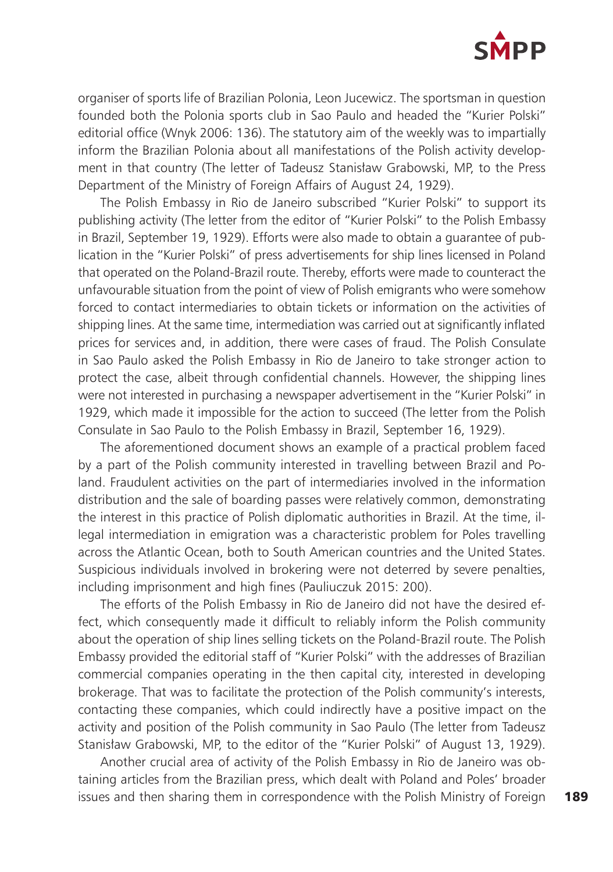

organiser of sports life of Brazilian Polonia, Leon Jucewicz. The sportsman in question founded both the Polonia sports club in Sao Paulo and headed the "Kurier Polski" editorial office (Wnyk 2006: 136). The statutory aim of the weekly was to impartially inform the Brazilian Polonia about all manifestations of the Polish activity development in that country (The letter of Tadeusz Stanisław Grabowski, MP, to the Press Department of the Ministry of Foreign Affairs of August 24, 1929).

The Polish Embassy in Rio de Janeiro subscribed "Kurier Polski" to support its publishing activity (The letter from the editor of "Kurier Polski" to the Polish Embassy in Brazil, September 19, 1929). Efforts were also made to obtain a guarantee of publication in the "Kurier Polski" of press advertisements for ship lines licensed in Poland that operated on the Poland-Brazil route. Thereby, efforts were made to counteract the unfavourable situation from the point of view of Polish emigrants who were somehow forced to contact intermediaries to obtain tickets or information on the activities of shipping lines. At the same time, intermediation was carried out at significantly inflated prices for services and, in addition, there were cases of fraud. The Polish Consulate in Sao Paulo asked the Polish Embassy in Rio de Janeiro to take stronger action to protect the case, albeit through confidential channels. However, the shipping lines were not interested in purchasing a newspaper advertisement in the "Kurier Polski" in 1929, which made it impossible for the action to succeed (The letter from the Polish Consulate in Sao Paulo to the Polish Embassy in Brazil, September 16, 1929).

The aforementioned document shows an example of a practical problem faced by a part of the Polish community interested in travelling between Brazil and Poland. Fraudulent activities on the part of intermediaries involved in the information distribution and the sale of boarding passes were relatively common, demonstrating the interest in this practice of Polish diplomatic authorities in Brazil. At the time, illegal intermediation in emigration was a characteristic problem for Poles travelling across the Atlantic Ocean, both to South American countries and the United States. Suspicious individuals involved in brokering were not deterred by severe penalties, including imprisonment and high fines (Pauliuczuk 2015: 200).

The efforts of the Polish Embassy in Rio de Janeiro did not have the desired effect, which consequently made it difficult to reliably inform the Polish community about the operation of ship lines selling tickets on the Poland-Brazil route. The Polish Embassy provided the editorial staff of "Kurier Polski" with the addresses of Brazilian commercial companies operating in the then capital city, interested in developing brokerage. That was to facilitate the protection of the Polish community's interests, contacting these companies, which could indirectly have a positive impact on the activity and position of the Polish community in Sao Paulo (The letter from Tadeusz Stanisław Grabowski, MP, to the editor of the "Kurier Polski" of August 13, 1929).

Another crucial area of activity of the Polish Embassy in Rio de Janeiro was obtaining articles from the Brazilian press, which dealt with Poland and Poles' broader issues and then sharing them in correspondence with the Polish Ministry of Foreign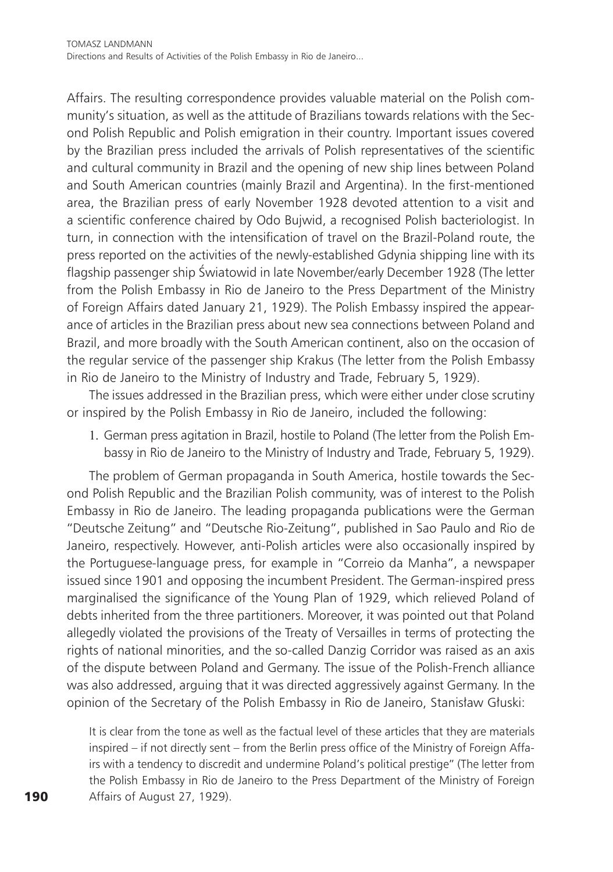Affairs. The resulting correspondence provides valuable material on the Polish community's situation, as well as the attitude of Brazilians towards relations with the Second Polish Republic and Polish emigration in their country. Important issues covered by the Brazilian press included the arrivals of Polish representatives of the scientific and cultural community in Brazil and the opening of new ship lines between Poland and South American countries (mainly Brazil and Argentina). In the first-mentioned area, the Brazilian press of early November 1928 devoted attention to a visit and a scientific conference chaired by Odo Bujwid, a recognised Polish bacteriologist. In turn, in connection with the intensification of travel on the Brazil-Poland route, the press reported on the activities of the newly-established Gdynia shipping line with its flagship passenger ship Światowid in late November/early December 1928 (The letter from the Polish Embassy in Rio de Janeiro to the Press Department of the Ministry of Foreign Affairs dated January 21, 1929). The Polish Embassy inspired the appearance of articles in the Brazilian press about new sea connections between Poland and Brazil, and more broadly with the South American continent, also on the occasion of the regular service of the passenger ship Krakus (The letter from the Polish Embassy in Rio de Janeiro to the Ministry of Industry and Trade, February 5, 1929).

The issues addressed in the Brazilian press, which were either under close scrutiny or inspired by the Polish Embassy in Rio de Janeiro, included the following:

1. German press agitation in Brazil, hostile to Poland (The letter from the Polish Embassy in Rio de Janeiro to the Ministry of Industry and Trade, February 5, 1929).

The problem of German propaganda in South America, hostile towards the Second Polish Republic and the Brazilian Polish community, was of interest to the Polish Embassy in Rio de Janeiro. The leading propaganda publications were the German "Deutsche Zeitung" and "Deutsche Rio-Zeitung", published in Sao Paulo and Rio de Janeiro, respectively. However, anti-Polish articles were also occasionally inspired by the Portuguese-language press, for example in "Correio da Manha", a newspaper issued since 1901 and opposing the incumbent President. The German-inspired press marginalised the significance of the Young Plan of 1929, which relieved Poland of debts inherited from the three partitioners. Moreover, it was pointed out that Poland allegedly violated the provisions of the Treaty of Versailles in terms of protecting the rights of national minorities, and the so-called Danzig Corridor was raised as an axis of the dispute between Poland and Germany. The issue of the Polish-French alliance was also addressed, arguing that it was directed aggressively against Germany. In the opinion of the Secretary of the Polish Embassy in Rio de Janeiro, Stanisław Głuski:

It is clear from the tone as well as the factual level of these articles that they are materials inspired – if not directly sent – from the Berlin press office of the Ministry of Foreign Affairs with a tendency to discredit and undermine Poland's political prestige" (The letter from the Polish Embassy in Rio de Janeiro to the Press Department of the Ministry of Foreign Affairs of August 27, 1929).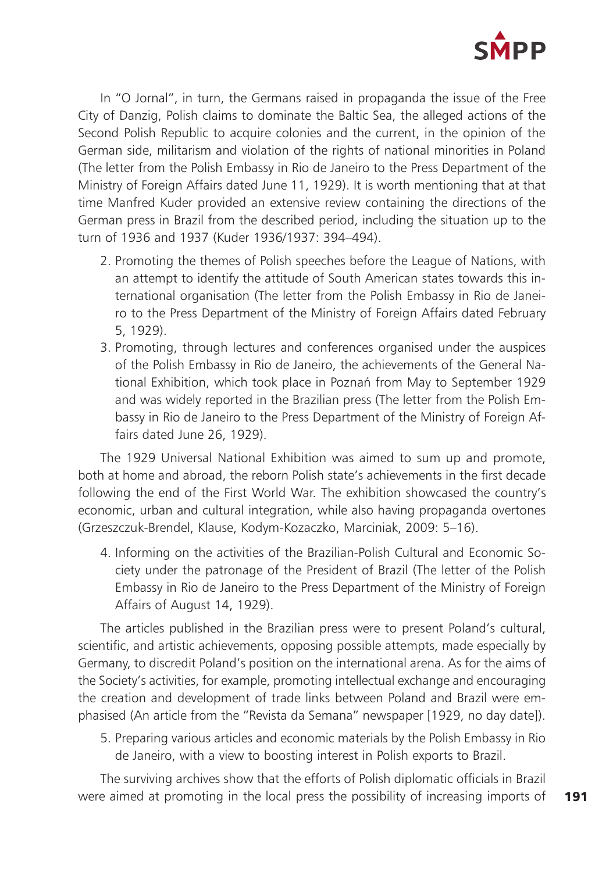

In "O Jornal", in turn, the Germans raised in propaganda the issue of the Free City of Danzig, Polish claims to dominate the Baltic Sea, the alleged actions of the Second Polish Republic to acquire colonies and the current, in the opinion of the German side, militarism and violation of the rights of national minorities in Poland (The letter from the Polish Embassy in Rio de Janeiro to the Press Department of the Ministry of Foreign Affairs dated June 11, 1929). It is worth mentioning that at that time Manfred Kuder provided an extensive review containing the directions of the German press in Brazil from the described period, including the situation up to the turn of 1936 and 1937 (Kuder 1936/1937: 394–494).

- 2. Promoting the themes of Polish speeches before the League of Nations, with an attempt to identify the attitude of South American states towards this international organisation (The letter from the Polish Embassy in Rio de Janeiro to the Press Department of the Ministry of Foreign Affairs dated February 5, 1929).
- 3. Promoting, through lectures and conferences organised under the auspices of the Polish Embassy in Rio de Janeiro, the achievements of the General National Exhibition, which took place in Poznań from May to September 1929 and was widely reported in the Brazilian press (The letter from the Polish Embassy in Rio de Janeiro to the Press Department of the Ministry of Foreign Affairs dated June 26, 1929).

The 1929 Universal National Exhibition was aimed to sum up and promote, both at home and abroad, the reborn Polish state's achievements in the first decade following the end of the First World War. The exhibition showcased the country's economic, urban and cultural integration, while also having propaganda overtones (Grzeszczuk-Brendel, Klause, Kodym-Kozaczko, Marciniak, 2009: 5–16).

4. Informing on the activities of the Brazilian-Polish Cultural and Economic Society under the patronage of the President of Brazil (The letter of the Polish Embassy in Rio de Janeiro to the Press Department of the Ministry of Foreign Affairs of August 14, 1929).

The articles published in the Brazilian press were to present Poland's cultural, scientific, and artistic achievements, opposing possible attempts, made especially by Germany, to discredit Poland's position on the international arena. As for the aims of the Society's activities, for example, promoting intellectual exchange and encouraging the creation and development of trade links between Poland and Brazil were emphasised (An article from the "Revista da Semana" newspaper [1929, no day date]).

5. Preparing various articles and economic materials by the Polish Embassy in Rio de Janeiro, with a view to boosting interest in Polish exports to Brazil.

The surviving archives show that the efforts of Polish diplomatic officials in Brazil were aimed at promoting in the local press the possibility of increasing imports of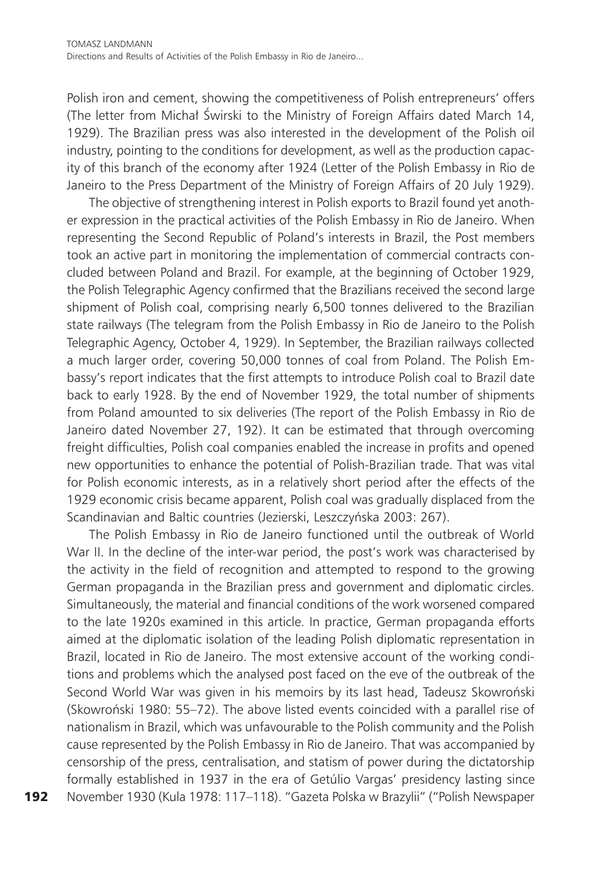Polish iron and cement, showing the competitiveness of Polish entrepreneurs' offers (The letter from Michał Świrski to the Ministry of Foreign Affairs dated March 14, 1929). The Brazilian press was also interested in the development of the Polish oil industry, pointing to the conditions for development, as well as the production capacity of this branch of the economy after 1924 (Letter of the Polish Embassy in Rio de Janeiro to the Press Department of the Ministry of Foreign Affairs of 20 July 1929).

The objective of strengthening interest in Polish exports to Brazil found yet another expression in the practical activities of the Polish Embassy in Rio de Janeiro. When representing the Second Republic of Poland's interests in Brazil, the Post members took an active part in monitoring the implementation of commercial contracts concluded between Poland and Brazil. For example, at the beginning of October 1929, the Polish Telegraphic Agency confirmed that the Brazilians received the second large shipment of Polish coal, comprising nearly 6,500 tonnes delivered to the Brazilian state railways (The telegram from the Polish Embassy in Rio de Janeiro to the Polish Telegraphic Agency, October 4, 1929). In September, the Brazilian railways collected a much larger order, covering 50,000 tonnes of coal from Poland. The Polish Embassy's report indicates that the first attempts to introduce Polish coal to Brazil date back to early 1928. By the end of November 1929, the total number of shipments from Poland amounted to six deliveries (The report of the Polish Embassy in Rio de Janeiro dated November 27, 192). It can be estimated that through overcoming freight difficulties, Polish coal companies enabled the increase in profits and opened new opportunities to enhance the potential of Polish-Brazilian trade. That was vital for Polish economic interests, as in a relatively short period after the effects of the 1929 economic crisis became apparent, Polish coal was gradually displaced from the Scandinavian and Baltic countries (Jezierski, Leszczyńska 2003: 267).

The Polish Embassy in Rio de Janeiro functioned until the outbreak of World War II. In the decline of the inter-war period, the post's work was characterised by the activity in the field of recognition and attempted to respond to the growing German propaganda in the Brazilian press and government and diplomatic circles. Simultaneously, the material and financial conditions of the work worsened compared to the late 1920s examined in this article. In practice, German propaganda efforts aimed at the diplomatic isolation of the leading Polish diplomatic representation in Brazil, located in Rio de Janeiro. The most extensive account of the working conditions and problems which the analysed post faced on the eve of the outbreak of the Second World War was given in his memoirs by its last head, Tadeusz Skowroński (Skowroński 1980: 55–72). The above listed events coincided with a parallel rise of nationalism in Brazil, which was unfavourable to the Polish community and the Polish cause represented by the Polish Embassy in Rio de Janeiro. That was accompanied by censorship of the press, centralisation, and statism of power during the dictatorship formally established in 1937 in the era of Getúlio Vargas' presidency lasting since November 1930 (Kula 1978: 117–118). "Gazeta Polska w Brazylii" ("Polish Newspaper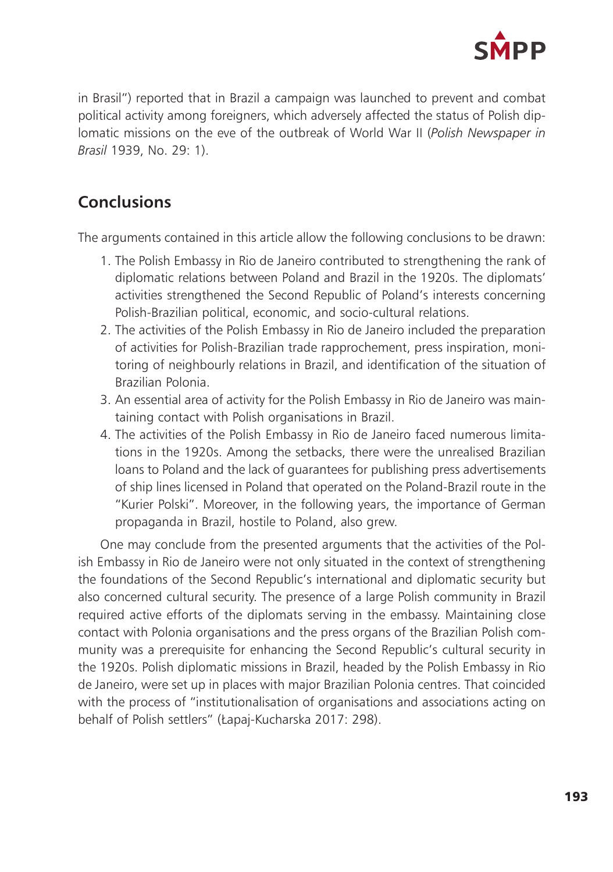

in Brasil") reported that in Brazil a campaign was launched to prevent and combat political activity among foreigners, which adversely affected the status of Polish diplomatic missions on the eve of the outbreak of World War II (*Polish Newspaper in Brasil* 1939, No. 29: 1).

## **Conclusions**

The arguments contained in this article allow the following conclusions to be drawn:

- 1. The Polish Embassy in Rio de Janeiro contributed to strengthening the rank of diplomatic relations between Poland and Brazil in the 1920s. The diplomats' activities strengthened the Second Republic of Poland's interests concerning Polish-Brazilian political, economic, and socio-cultural relations.
- 2. The activities of the Polish Embassy in Rio de Janeiro included the preparation of activities for Polish-Brazilian trade rapprochement, press inspiration, monitoring of neighbourly relations in Brazil, and identification of the situation of Brazilian Polonia.
- 3. An essential area of activity for the Polish Embassy in Rio de Janeiro was maintaining contact with Polish organisations in Brazil.
- 4. The activities of the Polish Embassy in Rio de Janeiro faced numerous limitations in the 1920s. Among the setbacks, there were the unrealised Brazilian loans to Poland and the lack of guarantees for publishing press advertisements of ship lines licensed in Poland that operated on the Poland-Brazil route in the "Kurier Polski". Moreover, in the following years, the importance of German propaganda in Brazil, hostile to Poland, also grew.

One may conclude from the presented arguments that the activities of the Polish Embassy in Rio de Janeiro were not only situated in the context of strengthening the foundations of the Second Republic's international and diplomatic security but also concerned cultural security. The presence of a large Polish community in Brazil required active efforts of the diplomats serving in the embassy. Maintaining close contact with Polonia organisations and the press organs of the Brazilian Polish community was a prerequisite for enhancing the Second Republic's cultural security in the 1920s. Polish diplomatic missions in Brazil, headed by the Polish Embassy in Rio de Janeiro, were set up in places with major Brazilian Polonia centres. That coincided with the process of "institutionalisation of organisations and associations acting on behalf of Polish settlers" (Łapaj-Kucharska 2017: 298).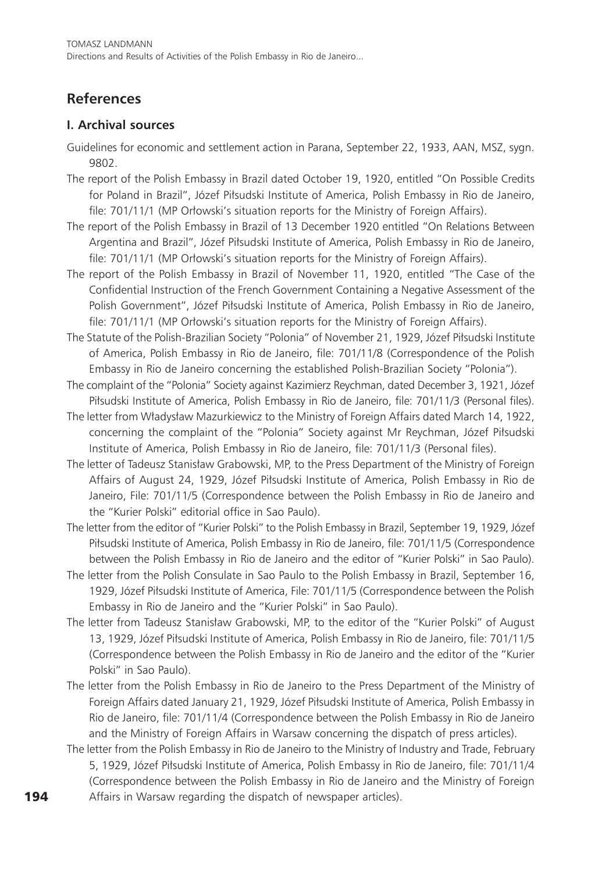## **References**

#### **I. Archival sources**

- Guidelines for economic and settlement action in Parana, September 22, 1933, AAN, MSZ, sygn. 9802.
- The report of the Polish Embassy in Brazil dated October 19, 1920, entitled "On Possible Credits for Poland in Brazil", Józef Piłsudski Institute of America, Polish Embassy in Rio de Janeiro, file: 701/11/1 (MP Orłowski's situation reports for the Ministry of Foreign Affairs).
- The report of the Polish Embassy in Brazil of 13 December 1920 entitled "On Relations Between Argentina and Brazil", Józef Piłsudski Institute of America, Polish Embassy in Rio de Janeiro, file: 701/11/1 (MP Orłowski's situation reports for the Ministry of Foreign Affairs).
- The report of the Polish Embassy in Brazil of November 11, 1920, entitled "The Case of the Confidential Instruction of the French Government Containing a Negative Assessment of the Polish Government", Józef Piłsudski Institute of America, Polish Embassy in Rio de Janeiro, file: 701/11/1 (MP Orłowski's situation reports for the Ministry of Foreign Affairs).
- The Statute of the Polish-Brazilian Society "Polonia" of November 21, 1929, Józef Piłsudski Institute of America, Polish Embassy in Rio de Janeiro, file: 701/11/8 (Correspondence of the Polish Embassy in Rio de Janeiro concerning the established Polish-Brazilian Society "Polonia").
- The complaint of the "Polonia" Society against Kazimierz Reychman, dated December 3, 1921, Józef Piłsudski Institute of America, Polish Embassy in Rio de Janeiro, file: 701/11/3 (Personal files).
- The letter from Władysław Mazurkiewicz to the Ministry of Foreign Affairs dated March 14, 1922, concerning the complaint of the "Polonia" Society against Mr Reychman, Józef Piłsudski Institute of America, Polish Embassy in Rio de Janeiro, file: 701/11/3 (Personal files).
- The letter of Tadeusz Stanisław Grabowski, MP, to the Press Department of the Ministry of Foreign Affairs of August 24, 1929, Józef Piłsudski Institute of America, Polish Embassy in Rio de Janeiro, File: 701/11/5 (Correspondence between the Polish Embassy in Rio de Janeiro and the "Kurier Polski" editorial office in Sao Paulo).
- The letter from the editor of "Kurier Polski" to the Polish Embassy in Brazil, September 19, 1929, Józef Piłsudski Institute of America, Polish Embassy in Rio de Janeiro, file: 701/11/5 (Correspondence between the Polish Embassy in Rio de Janeiro and the editor of "Kurier Polski" in Sao Paulo).
- The letter from the Polish Consulate in Sao Paulo to the Polish Embassy in Brazil, September 16, 1929, Józef Piłsudski Institute of America, File: 701/11/5 (Correspondence between the Polish Embassy in Rio de Janeiro and the "Kurier Polski" in Sao Paulo).
- The letter from Tadeusz Stanisław Grabowski, MP, to the editor of the "Kurier Polski" of August 13, 1929, Józef Piłsudski Institute of America, Polish Embassy in Rio de Janeiro, file: 701/11/5 (Correspondence between the Polish Embassy in Rio de Janeiro and the editor of the "Kurier Polski" in Sao Paulo).
- The letter from the Polish Embassy in Rio de Janeiro to the Press Department of the Ministry of Foreign Affairs dated January 21, 1929, Józef Piłsudski Institute of America, Polish Embassy in Rio de Janeiro, file: 701/11/4 (Correspondence between the Polish Embassy in Rio de Janeiro and the Ministry of Foreign Affairs in Warsaw concerning the dispatch of press articles).
- The letter from the Polish Embassy in Rio de Janeiro to the Ministry of Industry and Trade, February 5, 1929, Józef Piłsudski Institute of America, Polish Embassy in Rio de Janeiro, file: 701/11/4 (Correspondence between the Polish Embassy in Rio de Janeiro and the Ministry of Foreign Affairs in Warsaw regarding the dispatch of newspaper articles).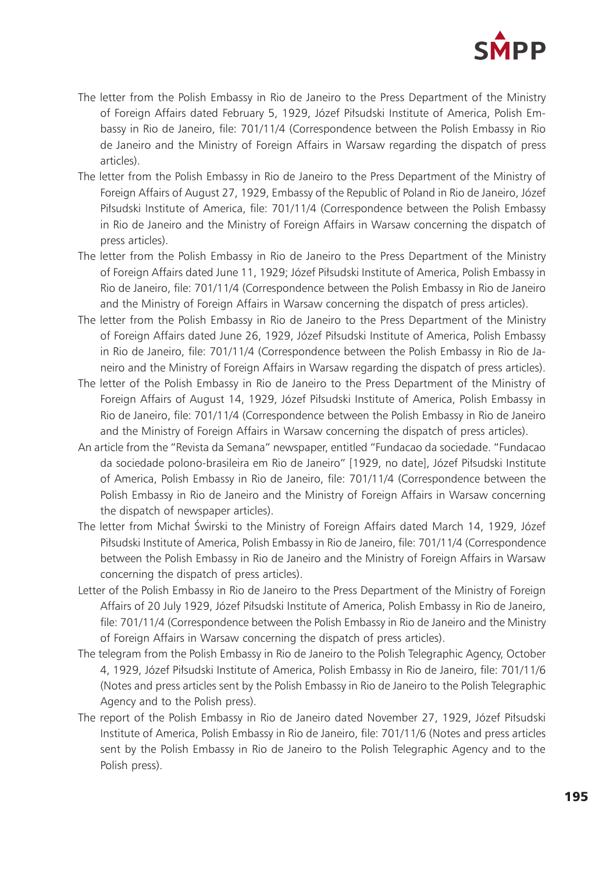

- The letter from the Polish Embassy in Rio de Janeiro to the Press Department of the Ministry of Foreign Affairs dated February 5, 1929, Józef Piłsudski Institute of America, Polish Embassy in Rio de Janeiro, file: 701/11/4 (Correspondence between the Polish Embassy in Rio de Janeiro and the Ministry of Foreign Affairs in Warsaw regarding the dispatch of press articles).
- The letter from the Polish Embassy in Rio de Janeiro to the Press Department of the Ministry of Foreign Affairs of August 27, 1929, Embassy of the Republic of Poland in Rio de Janeiro, Józef Piłsudski Institute of America, file: 701/11/4 (Correspondence between the Polish Embassy in Rio de Janeiro and the Ministry of Foreign Affairs in Warsaw concerning the dispatch of press articles).
- The letter from the Polish Embassy in Rio de Janeiro to the Press Department of the Ministry of Foreign Affairs dated June 11, 1929; Józef Piłsudski Institute of America, Polish Embassy in Rio de Janeiro, file: 701/11/4 (Correspondence between the Polish Embassy in Rio de Janeiro and the Ministry of Foreign Affairs in Warsaw concerning the dispatch of press articles).
- The letter from the Polish Embassy in Rio de Janeiro to the Press Department of the Ministry of Foreign Affairs dated June 26, 1929, Józef Piłsudski Institute of America, Polish Embassy in Rio de Janeiro, file: 701/11/4 (Correspondence between the Polish Embassy in Rio de Janeiro and the Ministry of Foreign Affairs in Warsaw regarding the dispatch of press articles).
- The letter of the Polish Embassy in Rio de Janeiro to the Press Department of the Ministry of Foreign Affairs of August 14, 1929, Józef Piłsudski Institute of America, Polish Embassy in Rio de Janeiro, file: 701/11/4 (Correspondence between the Polish Embassy in Rio de Janeiro and the Ministry of Foreign Affairs in Warsaw concerning the dispatch of press articles).
- An article from the "Revista da Semana" newspaper, entitled "Fundacao da sociedade. "Fundacao da sociedade polono-brasileira em Rio de Janeiro" [1929, no date], Józef Piłsudski Institute of America, Polish Embassy in Rio de Janeiro, file: 701/11/4 (Correspondence between the Polish Embassy in Rio de Janeiro and the Ministry of Foreign Affairs in Warsaw concerning the dispatch of newspaper articles).
- The letter from Michał Świrski to the Ministry of Foreign Affairs dated March 14, 1929, Józef Piłsudski Institute of America, Polish Embassy in Rio de Janeiro, file: 701/11/4 (Correspondence between the Polish Embassy in Rio de Janeiro and the Ministry of Foreign Affairs in Warsaw concerning the dispatch of press articles).
- Letter of the Polish Embassy in Rio de Janeiro to the Press Department of the Ministry of Foreign Affairs of 20 July 1929, Józef Piłsudski Institute of America, Polish Embassy in Rio de Janeiro, file: 701/11/4 (Correspondence between the Polish Embassy in Rio de Janeiro and the Ministry of Foreign Affairs in Warsaw concerning the dispatch of press articles).
- The telegram from the Polish Embassy in Rio de Janeiro to the Polish Telegraphic Agency, October 4, 1929, Józef Piłsudski Institute of America, Polish Embassy in Rio de Janeiro, file: 701/11/6 (Notes and press articles sent by the Polish Embassy in Rio de Janeiro to the Polish Telegraphic Agency and to the Polish press).
- The report of the Polish Embassy in Rio de Janeiro dated November 27, 1929, Józef Piłsudski Institute of America, Polish Embassy in Rio de Janeiro, file: 701/11/6 (Notes and press articles sent by the Polish Embassy in Rio de Janeiro to the Polish Telegraphic Agency and to the Polish press).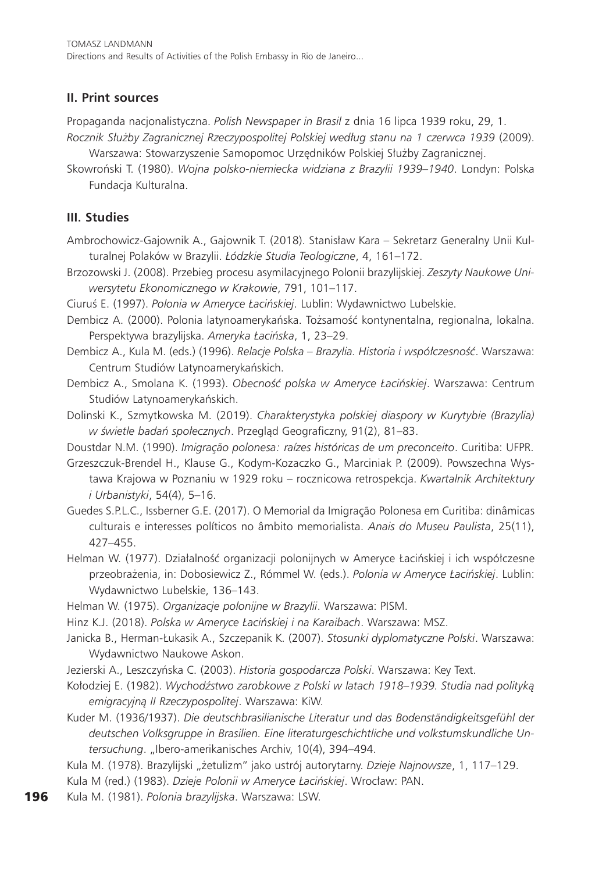Tomasz Landmann Directions and Results of Activities of the Polish Embassy in Rio de Janeiro...

#### **II. Print sources**

Propaganda nacjonalistyczna. *Polish Newspaper in Brasil* z dnia 16 lipca 1939 roku, 29, 1.

- *Rocznik Służby Zagranicznej Rzeczypospolitej Polskiej według stanu na 1 czerwca 1939* (2009). Warszawa: Stowarzyszenie Samopomoc Urzędników Polskiej Służby Zagranicznej.
- Skowroński T. (1980). *Wojna polsko-niemiecka widziana z Brazylii 1939–1940*. Londyn: Polska Fundacja Kulturalna.

#### **III. Studies**

- Ambrochowicz-Gajownik A., Gajownik T. (2018). Stanisław Kara Sekretarz Generalny Unii Kulturalnej Polaków w Brazylii. *Łódzkie Studia Teologiczne*, 4, 161–172.
- Brzozowski J. (2008). Przebieg procesu asymilacyjnego Polonii brazylijskiej. *Zeszyty Naukowe Uniwersytetu Ekonomicznego w Krakowie*, 791, 101–117.
- Ciuruś E. (1997). *Polonia w Ameryce Łacińskiej*. Lublin: Wydawnictwo Lubelskie.
- Dembicz A. (2000). Polonia latynoamerykańska. Tożsamość kontynentalna, regionalna, lokalna. Perspektywa brazylijska. *Ameryka Łacińska*, 1, 23–29.
- Dembicz A., Kula M. (eds.) (1996). *Relacje Polska Brazylia. Historia i współczesność*. Warszawa: Centrum Studiów Latynoamerykańskich.
- Dembicz A., Smolana K. (1993). *Obecność polska w Ameryce Łacińskiej*. Warszawa: Centrum Studiów Latynoamerykańskich.
- Dolinski K., Szmytkowska M. (2019). *Charakterystyka polskiej diaspory w Kurytybie (Brazylia) w świetle badań społecznych*. Przegląd Geograficzny, 91(2), 81–83.
- Doustdar N.M. (1990). *Imigração polonesa: raízes históricas de um preconceito*. Curitiba: UFPR.
- Grzeszczuk-Brendel H., Klause G., Kodym-Kozaczko G., Marciniak P. (2009). Powszechna Wystawa Krajowa w Poznaniu w 1929 roku – rocznicowa retrospekcja. *Kwartalnik Architektury i Urbanistyki*, 54(4), 5–16.
- Guedes S.P.L.C., Issberner G.E. (2017). O Memorial da Imigração Polonesa em Curitiba: dinâmicas culturais e interesses políticos no âmbito memorialista. *Anais do Museu Paulista*, 25(11), 427–455.
- Helman W. (1977). Działalność organizacji polonijnych w Ameryce Łacińskiej i ich współczesne przeobrażenia, in: Dobosiewicz Z., Rómmel W. (eds.). *Polonia w Ameryce Łacińskiej*. Lublin: Wydawnictwo Lubelskie, 136–143.
- Helman W. (1975). *Organizacje polonijne w Brazylii*. Warszawa: PISM.
- Hinz K.J. (2018). *Polska w Ameryce Łacińskiej i na Karaibach*. Warszawa: MSZ.
- Janicka B., Herman-Łukasik A., Szczepanik K. (2007). *Stosunki dyplomatyczne Polski*. Warszawa: Wydawnictwo Naukowe Askon.
- Jezierski A., Leszczyńska C. (2003). *Historia gospodarcza Polski*. Warszawa: Key Text.
- Kołodziej E. (1982). *Wychodźstwo zarobkowe z Polski w latach 1918–1939. Studia nad polityką emigracyjną II Rzeczypospolitej*. Warszawa: KiW.
- Kuder M. (1936/1937). *Die deutschbrasilianische Literatur und das Bodenständigkeitsgefühl der deutschen Volksgruppe in Brasilien. Eine literaturgeschichtliche und volkstumskundliche Untersuchung*. "Ibero-amerikanisches Archiv, 10(4), 394–494.
- Kula M. (1978). Brazylijski "żetulizm" jako ustrój autorytarny. Dzieje Najnowsze, 1, 117–129.
- Kula M (red.) (1983). *Dzieje Polonii w Ameryce Łacińskiej*. Wrocław: PAN.
- Kula M. (1981). *Polonia brazylijska*. Warszawa: LSW.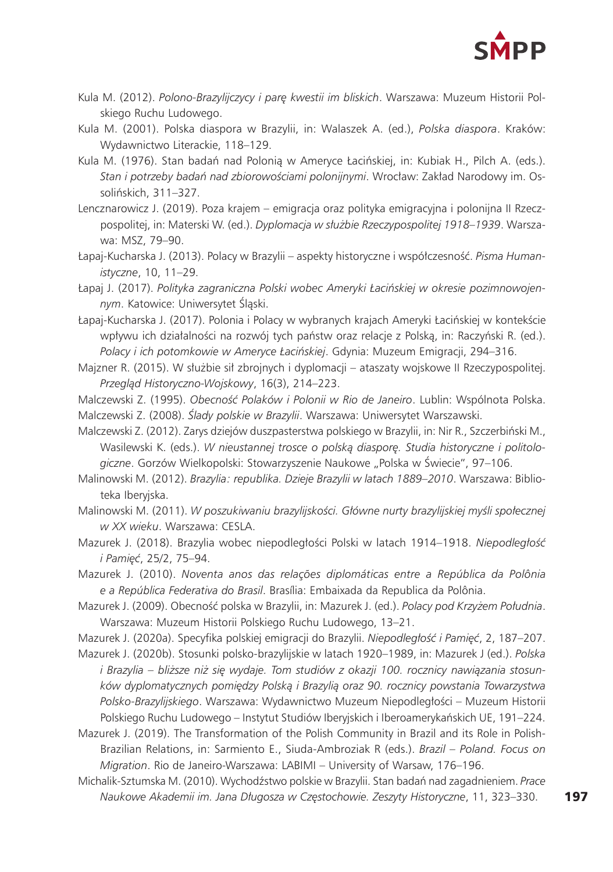

- Kula M. (2012). *Polono-Brazylijczycy i parę kwestii im bliskich*. Warszawa: Muzeum Historii Polskiego Ruchu Ludowego.
- Kula M. (2001). Polska diaspora w Brazylii, in: Walaszek A. (ed.), *Polska diaspora*. Kraków: Wydawnictwo Literackie, 118–129.
- Kula M. (1976). Stan badań nad Polonią w Ameryce Łacińskiej, in: Kubiak H., Pilch A. (eds.). *Stan i potrzeby badań nad zbiorowościami polonijnymi*. Wrocław: Zakład Narodowy im. Ossolińskich, 311–327.
- Lencznarowicz J. (2019). Poza krajem emigracja oraz polityka emigracyjna i polonijna II Rzeczpospolitej, in: Materski W. (ed.). *Dyplomacja w służbie Rzeczypospolitej 1918–1939*. Warszawa: MSZ, 79–90.
- Łapaj-Kucharska J. (2013). Polacy w Brazylii aspekty historyczne i współczesność. *Pisma Humanistyczne*, 10, 11–29.
- Łapaj J. (2017). *Polityka zagraniczna Polski wobec Ameryki Łacińskiej w okresie pozimnowojennym*. Katowice: Uniwersytet Śląski.
- Łapaj-Kucharska J. (2017). Polonia i Polacy w wybranych krajach Ameryki Łacińskiej w kontekście wpływu ich działalności na rozwój tych państw oraz relacje z Polską, in: Raczyński R. (ed.). *Polacy i ich potomkowie w Ameryce Łacińskiej*. Gdynia: Muzeum Emigracji, 294–316.
- Majzner R. (2015). W służbie sił zbrojnych i dyplomacji ataszaty wojskowe II Rzeczypospolitej. *Przegląd Historyczno-Wojskowy*, 16(3), 214–223.
- Malczewski Z. (1995). *Obecność Polaków i Polonii w Rio de Janeiro*. Lublin: Wspólnota Polska.
- Malczewski Z. (2008). *Ślady polskie w Brazylii*. Warszawa: Uniwersytet Warszawski.
- Malczewski Z. (2012). Zarys dziejów duszpasterstwa polskiego w Brazylii, in: Nir R., Szczerbiński M., Wasilewski K. (eds.). *W nieustannej trosce o polską diasporę. Studia historyczne i politolo*giczne. Gorzów Wielkopolski: Stowarzyszenie Naukowe "Polska w Świecie", 97-106.
- Malinowski M. (2012). *Brazylia: republika. Dzieje Brazylii w latach 1889–2010*. Warszawa: Biblioteka Iberyjska.
- Malinowski M. (2011). *W poszukiwaniu brazylijskości. Główne nurty brazylijskiej myśli społecznej w XX wieku*. Warszawa: CESLA.
- Mazurek J. (2018). Brazylia wobec niepodległości Polski w latach 1914–1918. *Niepodległość i Pamięć*, 25/2, 75–94.
- Mazurek J. (2010). *Noventa anos das relações diplomáticas entre a República da Polônia e a República Federativa do Brasil*. Brasília: Embaixada da Republica da Polônia.
- Mazurek J. (2009). Obecność polska w Brazylii, in: Mazurek J. (ed.). *Polacy pod Krzyżem Południa*. Warszawa: Muzeum Historii Polskiego Ruchu Ludowego, 13–21.
- Mazurek J. (2020a). Specyfika polskiej emigracji do Brazylii. *Niepodległość i Pamięć*, 2, 187–207.
- Mazurek J. (2020b). Stosunki polsko-brazylijskie w latach 1920–1989, in: Mazurek J (ed.). *Polska i Brazylia – bliższe niż się wydaje. Tom studiów z okazji 100. rocznicy nawiązania stosunków dyplomatycznych pomiędzy Polską i Brazylią oraz 90. rocznicy powstania Towarzystwa Polsko-Brazylijskiego*. Warszawa: Wydawnictwo Muzeum Niepodległości – Muzeum Historii Polskiego Ruchu Ludowego – Instytut Studiów Iberyjskich i Iberoamerykańskich UE, 191–224.
- Mazurek J. (2019). The Transformation of the Polish Community in Brazil and its Role in Polish-Brazilian Relations, in: Sarmiento E., Siuda-Ambroziak R (eds.). *Brazil – Poland. Focus on Migration*. Rio de Janeiro-Warszawa: LABIMI – University of Warsaw, 176–196.
- Michalik-Sztumska M. (2010). Wychodźstwo polskie w Brazylii. Stan badań nad zagadnieniem. *Prace Naukowe Akademii im. Jana Długosza w Częstochowie. Zeszyty Historyczne*, 11, 323–330.